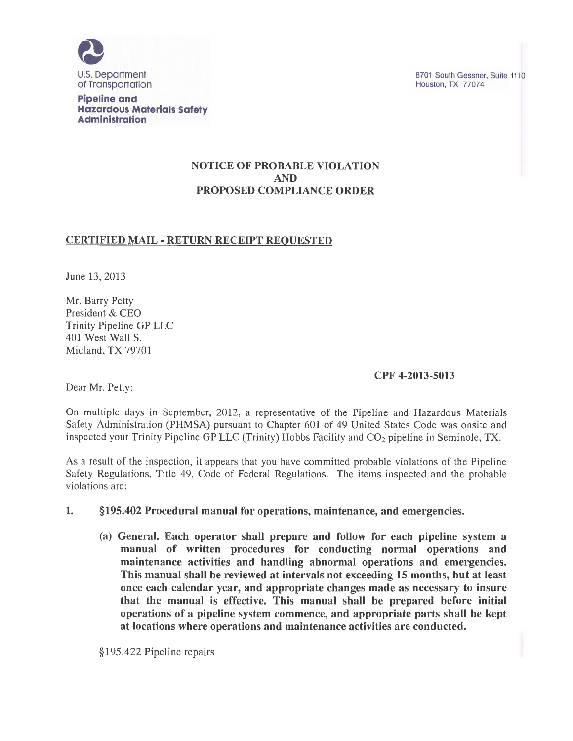

**Pipeline and Hazardous Materials Safety Administration** 

#### NOTICE OF PROBABLE VIOLATION AND PROPOSED COMPLIANCE ORDER

# CERTIFIED MAIL- RETURN RECEIPT REQUESTED

June 13, 2013

Mr. Barry Petty President & CEO Trinity Pipeline GP LLC 401 West Wall S. Midland, TX 79701

### CPF 4-2013-5013

Dear Mr. Petty:

On multiple days in September, 2012, a representative of the Pipeline and Hazardous Materials Safety Administration (PHMSA) pursuant to Chapter 601 of 49 United States Code was onsite and inspected your Trinity Pipeline GP LLC (Trinity) Hobbs Facility and C02 pipeline in Seminole, TX.

As a result of the inspection, it appears that you have committed probable violations of the Pipeline Safety Regulations, Title 49, Code of Federal Regulations. The items inspected and the probable violations are:

### 1. §195.402 Procedural manual for operations, maintenance, and emergencies.

(a) General. Each operator shall prepare and follow for each pipeline system a manual of written procedures for conducting normal operations and maintenance activities and handling abnormal operations and emergencies. This manual shall be reviewed at intervals not exceeding 15 months, but at least once each calendar year, and appropriate changes made as necessary to insure that the manual is effective. This manual shall be prepared before initial operations of a pipeline system commence, and appropriate parts shall be kept at locations where operations and maintenance activities are conducted.

§195.422 Pipeline repairs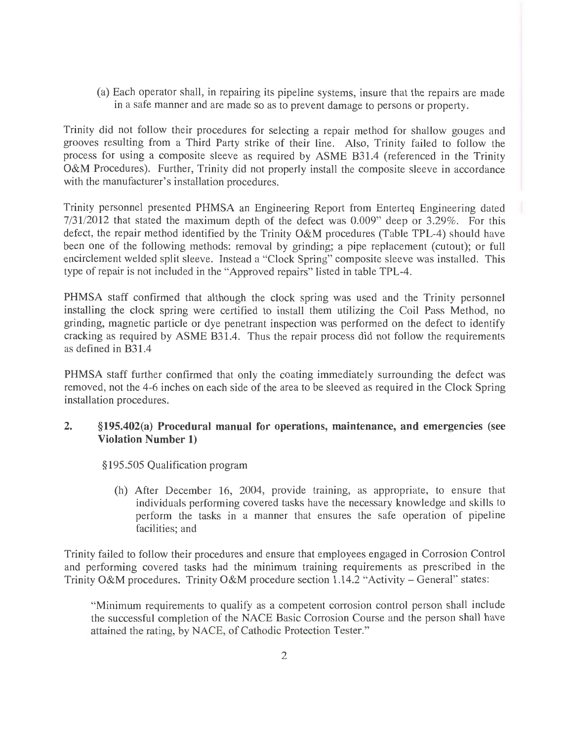(a) Each operator shall, in repairing its pipeline systems, insure that the repairs are made in a safe manner and are made so as to prevent damage to persons or property.

Trinity did not follow their procedures for selecting a repair method for shallow gouges and grooves resulting from a Third Party strike of their line. Also, Trinity failed to follow the process for using a composite sleeve as required by ASME B31.4 (referenced in the Trinity O&M Procedures). Further, Trinity did not properly install the composite sleeve in accordance with the manufacturer's installation procedures.

Trinity personnel presented PHMSA an Engineering Report from Enterteq Engineering dated 7/31/2012 that stated the maximum depth of the defect was 0.009" deep or 3.29%. For this defect, the repair method identified by the Trinity O&M procedures (Table TPL-4) should have been one of the following methods: removal by grinding; a pipe replacement (cutout); or full encirclement welded split sleeve. Instead a "Clock Spring" composite sleeve was installed. This type of repair is not included in the "Approved repairs" listed in table TPL-4.

PHMSA staff confirmed that although the clock spring was used and the Trinity personnel installing the clock spring were certified to install them utilizing the Coil Pass Method, no grinding, magnetic particle or dye penetrant inspection was performed on the defect to identify cracking as required by ASME B31.4. Thus the repair process did not follow the requirements as defined in B31.4

PHMSA staff further confirmed that only the coating immediately surrounding the defect was removed, not the 4-6 inches on each side of the area to be sleeved as required in the Clock Spring installation procedures.

### **2. §195.402(a) Procedural manual for operations, maintenance, and emergencies** (see **Violation Number 1)**

§195.505 Qualification program

(h) After December 16, 2004, provide training, as appropriate, to ensure that individuals performing covered tasks have the necessary knowledge and skills to perform the tasks in a manner that ensures the safe operation of pipeline facilities; and

Trinity failed to follow their procedures and ensure that employees engaged in Corrosion Control and performing covered tasks had the minimum training requirements as prescribed in the Trinity O&M procedures. Trinity O&M procedure section 1.14.2 "Activity – General" states:

"Minimum requirements to qualify as a competent corrosion control person shall include the successful completion of the NACE Basic Corrosion Course and the person shall have attained the rating, by NACE, of Cathodic Protection Tester."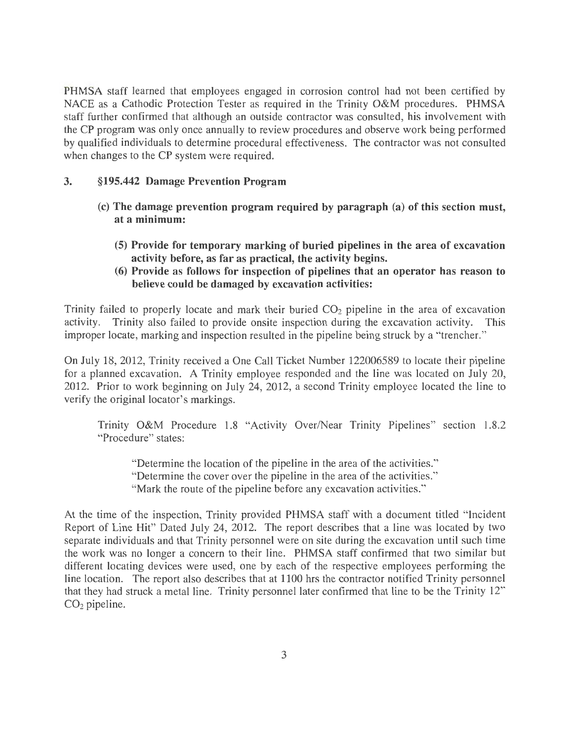PHMSA staff learned that employees engaged in corrosion control had not been certified by NACE as a Cathodic Protection Tester as required in the Trinity O&M procedures. PHMSA staff further confirmed that although an outside contractor was consulted, his involvement with the CP program was only once annually to review procedures and observe work being performed by qualified individuals to determine procedural effectiveness. The contractor was not consulted when changes to the CP system were required.

### 3. § **195.442 Damage Prevention Program**

- (c) **The damage prevention program required by paragraph (a) of this section must, at a minimum:** 
	- **(5) Provide for temporary marking of buried pipelines in the area of excavation activity before, as far as practical, the activity begins.**
	- **(6) Provide as follows for inspection of pipelines that an operator has reason to believe could be damaged by excavation activities:**

Trinity failed to properly locate and mark their buried  $CO<sub>2</sub>$  pipeline in the area of excavation activity. Trinity also failed to provide onsite inspection during the excavation activity. This activity. Trinity also failed to provide onsite inspection during the excavation activity. improper locate, marking and inspection resulted in the pipeline being struck by a "trencher."

On July 18, 2012, Trinity received a One Call Ticket Number 122006589 to locate their pipeline for a planned excavation. A Trinity employee responded and the line was located on July 20, 2012. Prior to work beginning on July 24, 2012, a second Trinity employee located the line to verify the original locator's markings.

Trinity O&M Procedure 1.8 "Activity Over/Near Trinity Pipelines" section 1.8.2 "Procedure" states:

"Determine the location of the pipeline in the area of the activities." "Determine the cover over the pipeline in the area of the activities." "Mark the route of the pipeline before any excavation activities."

At the time of the inspection, Trinity provided PHMSA staff with a document titled "Incident Report of Line Hit" Dated July 24, 2012. The report describes that a line was located by two separate individuals and that Trinity personnel were on site during the excavation until such time the work was no longer a concern to their line. PHMSA staff confirmed that two similar but different locating devices were used, one by each of the respective employees performing the line location. The report also describes that at 1100 hrs the contractor notified Trinity personnel that they had struck a metal line. Trinity personnel later confirmed that line to be the Trinity 12"  $CO<sub>2</sub>$  pipeline.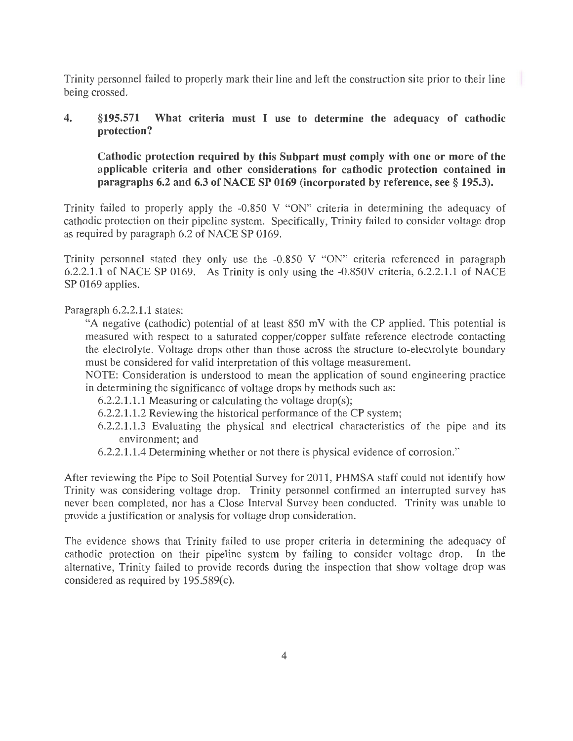Trinity personnel failed to properly mark their line and left the construction site prior to their line being crossed.

# 4. §195.571 What criteria must I use to determine the adequacy of cathodic protection?

Cathodic protection required by this Subpart must comply with one or more of the applicable criteria and other considerations for cathodic protection contained in paragraphs 6.2 and 6.3 of NACE SP 0169 (incorporated by reference, see § 195.3).

Trinity failed to properly apply the -0.850 V "ON" criteria in determining the adequacy of cathodic protection on their pipeline system. Specifically, Trinity failed to consider voltage drop as required by paragraph 6.2 of NACE SP 0169.

Trinity personnel stated they only use the -0.850 V "ON" criteria referenced in paragraph 6.2.2.1.1 of NACE SP 0169. As Trinity is only using the -0.850V criteria, 6.2.2.1.1 of NACE SP 0169 applies.

Paragraph 6.2.2.1.1 states:

"A negative (cathodic) potential of at least 850 m V with the CP applied. This potential is measured with respect to a saturated copper/copper sulfate reference electrode contacting the electrolyte. Voltage drops other than those across the structure to-electrolyte boundary must be considered for valid interpretation of this voltage measurement.

NOTE: Consideration is understood to mean the application of sound engineering practice in determining the significance of voltage drops by methods such as:

6.2.2.1.1.1 Measuring or calculating the voltage drop(s);

- 6.2.2.1.1.2 Reviewing the historical performance of the CP system;
- $6.2.2.1.1.3$  Evaluating the physical and electrical characteristics of the pipe and its environment; and
- 6.2.2.1.1.4 Determining whether or not there is physical evidence of corrosion."

After reviewing the Pipe to Soil Potential Survey for 2011, PHMSA staff could not identify how Trinity was considering voltage drop. Trinity personnel confirmed an interrupted survey has never been completed, nor has a Close Interval Survey been conducted. Trinity was unable to provide a justification or analysis for voltage drop consideration.

The evidence shows that Trinity failed to use proper criteria in determining the adequacy of cathodic protection on their pipeline system by failing to consider voltage drop. In the alternative, Trinity failed to provide records during the inspection that show voltage drop was considered as required by 195.589(c).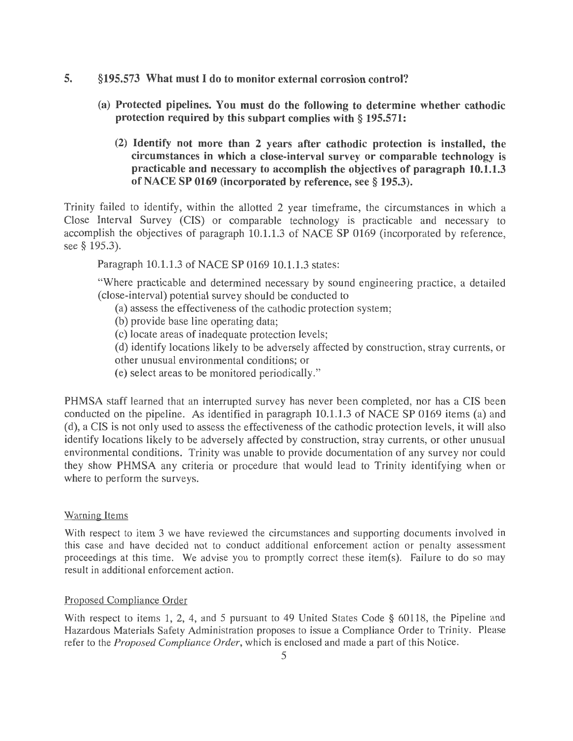- 5. §195.573 What must I do to monitor external corrosion control?
	- (a) Protected pipelines. You must do the following to determine whether cathodic protection required by this subpart complies with § 195.571:
		- (2) Identify not more than 2 years after cathodic protection is installed, the circumstances in which a close-interval survey or comparable technology is practicable and necessary to accomplish the objectives of paragraph 10.1.1.3 of NACE SP 0169 (incorporated by reference, see § 195.3).

Trinity failed to identify, within the allotted 2 year timeframe, the circumstances in which a Close Interval Survey (CIS) or comparable technology is practicable and necessary to accomplish the objectives of paragraph 10.1.1.3 of NACE SP 0169 (incorporated by reference, see § 195.3).

Paragraph 10.1.1.3 of NACE SP 0169 10.1.1.3 states:

"Where practicable and determined necessary by sound engineering practice, a detailed (close-interval) potential survey should be conducted to

- (a) assess the effectiveness of the cathodic protection system;
- (b) provide base line operating data;
- (c) locate areas of inadequate protection levels;
- (d) identify locations likely to be adversely affected by construction, stray currents, or other unusual environmental conditions; or
- (e) select areas to be monitored periodically."

PHMSA staff learned that an interrupted survey has never been completed, nor has a CIS been conducted on the pipeline. As identified in paragraph 10.1.1.3 of NACE SP 0169 items (a) and (d), a CIS is not only used to assess the effectiveness of the cathodic protection levels, it will also identify locations likely to be adversely affected by construction, stray currents, or other unusual environmental conditions. Trinity was unable to provide documentation of any survey nor could they show PHMSA any criteria or procedure that would lead to Trinity identifying when or where to perform the surveys.

#### Warning Items

With respect to item 3 we have reviewed the circumstances and supporting documents involved in this case and have decided not to conduct additional enforcement action or penalty assessment proceedings at this time. We advise you to promptly correct these item(s). Failure to do so may result in additional enforcement action.

#### Proposed Compliance Order

With respect to items 1, 2, 4, and 5 pursuant to 49 United States Code § 60118, the Pipeline and Hazardous Materials Safety Administration proposes to issue a Compliance Order to Trinity. Please refer to the *Proposed Compliance Order,* which is enclosed and made a part of this Notice.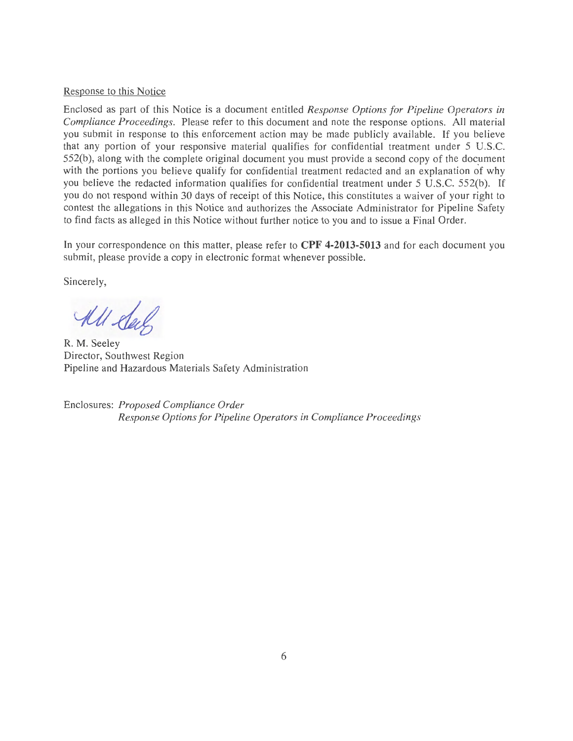#### Response to this Notice

Enclosed as part of this Notice is a document entitled *Response Options for Pipeline Operators in Compliance Proceedings.* Please refer to this document and note the response options. All material you submit in response to this enforcement action may be made publicly available. If you believe that any portion of your responsive material qualifies for confidential treatment under 5 U.S.C. 552(b), along with the complete original document you must provide a second copy of the document with the portions you believe qualify for confidential treatment redacted and an explanation of why you believe the redacted information qualifies for confidential treatment under 5 U.S.C. 552(b). If you do not respond within 30 days of receipt of this Notice, this constitutes a waiver of your right to contest the allegations in this Notice and authorizes the Associate Administrator for Pipeline Safety to find facts as alleged in this Notice without further notice to you and to issue a Final Order.

In your correspondence on this matter, please refer to **CPF 4-2013-5013** and for each document you submit, please provide a copy in electronic format whenever possible.

Sincerely,

All day

R. M. Seeley Director, Southwest Region Pipeline and Hazardous Materials Safety Administration

Enclosures: *Proposed Compliance Order Response Options for Pipeline Operators in Compliance Proceedings*